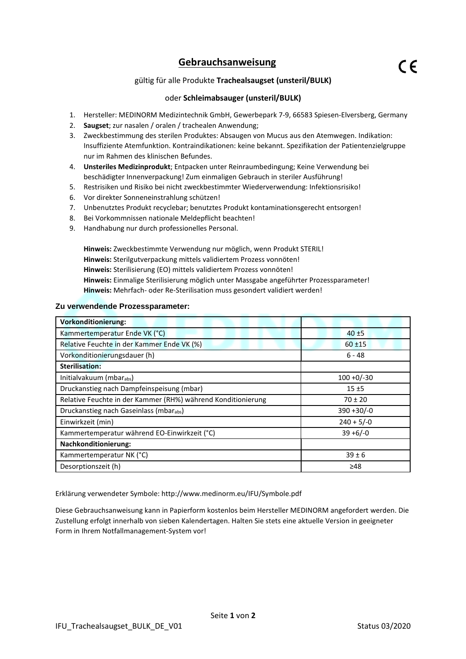# **Gebrauchsanweisung**

## gültig für alle Produkte **Trachealsaugset (unsteril/BULK)**

### oder **Schleimabsauger (unsteril/BULK)**

- 1. Hersteller: MEDINORM Medizintechnik GmbH, Gewerbepark 7-9, 66583 Spiesen-Elversberg, Germany
- 2. **Saugset**; zur nasalen / oralen / trachealen Anwendung;
- 3. Zweckbestimmung des sterilen Produktes: Absaugen von Mucus aus den Atemwegen. Indikation: Insuffiziente Atemfunktion. Kontraindikationen: keine bekannt. Spezifikation der Patientenzielgruppe nur im Rahmen des klinischen Befundes.
- 4. **Unsteriles Medizinprodukt**; Entpacken unter Reinraumbedingung; Keine Verwendung bei beschädigter Innenverpackung! Zum einmaligen Gebrauch in steriler Ausführung!
- 5. Restrisiken und Risiko bei nicht zweckbestimmter Wiederverwendung: Infektionsrisiko!
- 6. Vor direkter Sonneneinstrahlung schützen!
- 7. Unbenutztes Produkt recyclebar; benutztes Produkt kontaminationsgerecht entsorgen!
- 8. Bei Vorkommnissen nationale Meldepflicht beachten!
- 9. Handhabung nur durch professionelles Personal.

**Hinweis:** Zweckbestimmte Verwendung nur möglich, wenn Produkt STERIL! **Hinweis:** Sterilgutverpackung mittels validiertem Prozess vonnöten! **Hinweis:** Sterilisierung (EO) mittels validiertem Prozess vonnöten! **Hinweis:** Einmalige Sterilisierung möglich unter Massgabe angeführter Prozessparameter! **Hinweis:** Mehrfach- oder Re-Sterilisation muss gesondert validiert werden!

### **Zu verwendende Prozessparameter:**

| <b>Vorkonditionierung:</b>                                   |               |
|--------------------------------------------------------------|---------------|
| Kammertemperatur Ende VK (°C)                                | $40 + 5$      |
| Relative Feuchte in der Kammer Ende VK (%)                   | $60 + 15$     |
| Vorkonditionierungsdauer (h)                                 | 6 - 48        |
| <b>Sterilisation:</b>                                        |               |
| Initialvakuum (mbarabs)                                      | $100 + 0/-30$ |
| Druckanstieg nach Dampfeinspeisung (mbar)                    | 15±5          |
| Relative Feuchte in der Kammer (RH%) während Konditionierung | $70 \pm 20$   |
| Druckanstieg nach Gaseinlass (mbarabs)                       | $390 + 30/-0$ |
| Einwirkzeit (min)                                            | $240 + 5/-0$  |
| Kammertemperatur während EO-Einwirkzeit (°C)                 | $39 + 6/-0$   |
| Nachkonditionierung:                                         |               |
| Kammertemperatur NK (°C)                                     | $39 \pm 6$    |
| Desorptionszeit (h)                                          | ≥48           |

Erklärung verwendeter Symbole: http://www.medinorm.eu/IFU/Symbole.pdf

Diese Gebrauchsanweisung kann in Papierform kostenlos beim Hersteller MEDINORM angefordert werden. Die Zustellung erfolgt innerhalb von sieben Kalendertagen. Halten Sie stets eine aktuelle Version in geeigneter Form in Ihrem Notfallmanagement-System vor!